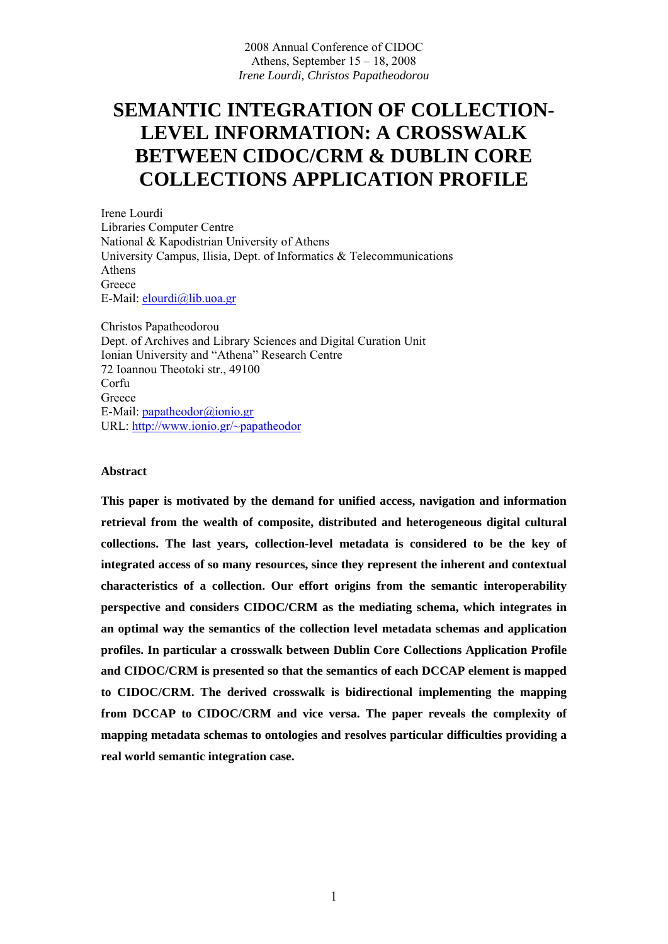# **SEMANTIC INTEGRATION OF COLLECTION-LEVEL INFORMATION: A CROSSWALK BETWEEN CIDOC/CRM & DUBLIN CORE COLLECTIONS APPLICATION PROFILE**

Irene Lourdi Libraries Computer Centre National & Kapodistrian University of Athens University Campus, Ilisia, Dept. of Informatics & Telecommunications Athens **Greece** E-Mail: elourdi@lib.uoa.gr

Christos Papatheodorou Dept. of Archives and Library Sciences and Digital Curation Unit Ionian University and "Athena" Research Centre 72 Ioannou Theotoki str., 49100 Corfu **Greece** E-Mail: papatheodor@ionio.gr URL: http://www.ionio.gr/~papatheodor

#### **Abstract**

**This paper is motivated by the demand for unified access, navigation and information retrieval from the wealth of composite, distributed and heterogeneous digital cultural collections. The last years, collection-level metadata is considered to be the key of integrated access of so many resources, since they represent the inherent and contextual characteristics of a collection. Our effort origins from the semantic interoperability perspective and considers CIDOC/CRM as the mediating schema, which integrates in an optimal way the semantics of the collection level metadata schemas and application profiles. In particular a crosswalk between Dublin Core Collections Application Profile and CIDOC/CRM is presented so that the semantics of each DCCAP element is mapped to CIDOC/CRM. The derived crosswalk is bidirectional implementing the mapping from DCCAP to CIDOC/CRM and vice versa. The paper reveals the complexity of mapping metadata schemas to ontologies and resolves particular difficulties providing a real world semantic integration case.**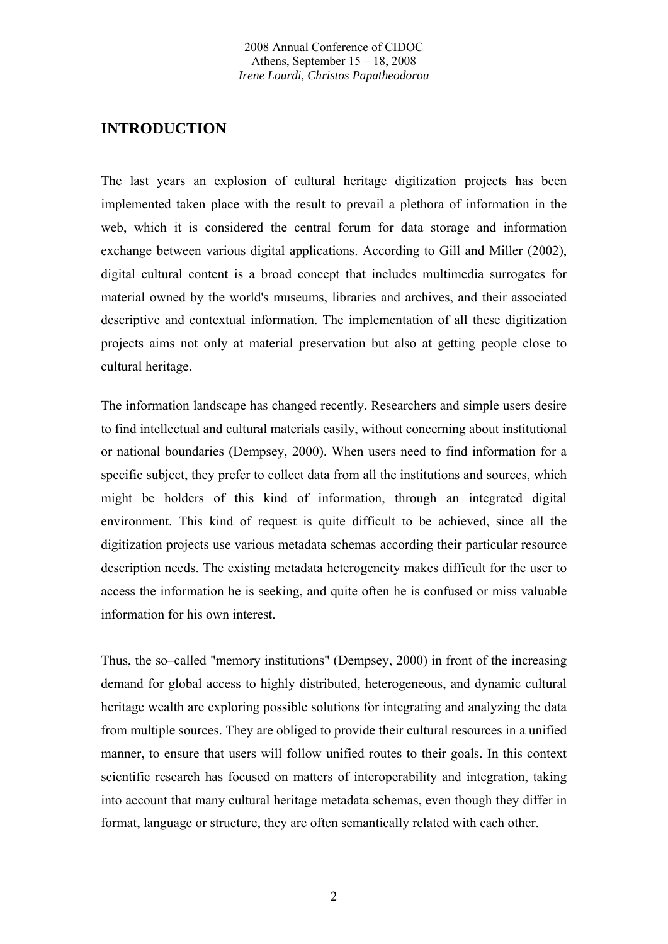## **INTRODUCTION**

The last years an explosion of cultural heritage digitization projects has been implemented taken place with the result to prevail a plethora of information in the web, which it is considered the central forum for data storage and information exchange between various digital applications. According to Gill and Miller (2002), digital cultural content is a broad concept that includes multimedia surrogates for material owned by the world's museums, libraries and archives, and their associated descriptive and contextual information. The implementation of all these digitization projects aims not only at material preservation but also at getting people close to cultural heritage.

The information landscape has changed recently. Researchers and simple users desire to find intellectual and cultural materials easily, without concerning about institutional or national boundaries (Dempsey, 2000). When users need to find information for a specific subject, they prefer to collect data from all the institutions and sources, which might be holders of this kind of information, through an integrated digital environment. This kind of request is quite difficult to be achieved, since all the digitization projects use various metadata schemas according their particular resource description needs. The existing metadata heterogeneity makes difficult for the user to access the information he is seeking, and quite often he is confused or miss valuable information for his own interest.

Thus, the so–called "memory institutions" (Dempsey, 2000) in front of the increasing demand for global access to highly distributed, heterogeneous, and dynamic cultural heritage wealth are exploring possible solutions for integrating and analyzing the data from multiple sources. They are obliged to provide their cultural resources in a unified manner, to ensure that users will follow unified routes to their goals. In this context scientific research has focused on matters of interoperability and integration, taking into account that many cultural heritage metadata schemas, even though they differ in format, language or structure, they are often semantically related with each other.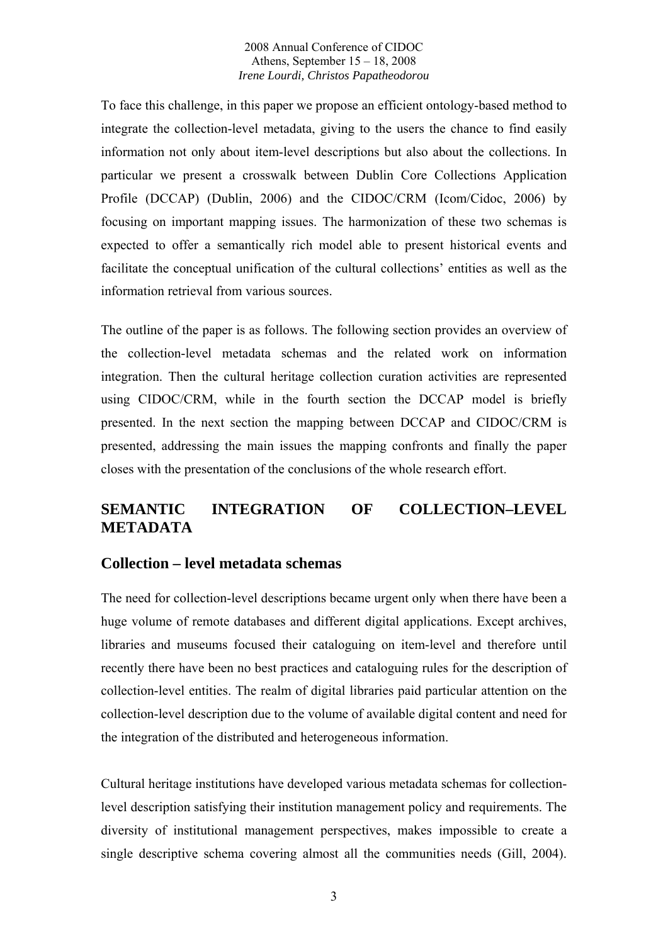To face this challenge, in this paper we propose an efficient ontology-based method to integrate the collection-level metadata, giving to the users the chance to find easily information not only about item-level descriptions but also about the collections. In particular we present a crosswalk between Dublin Core Collections Application Profile (DCCAP) (Dublin, 2006) and the CIDOC/CRM (Icom/Cidoc, 2006) by focusing on important mapping issues. The harmonization of these two schemas is expected to offer a semantically rich model able to present historical events and facilitate the conceptual unification of the cultural collections' entities as well as the information retrieval from various sources.

The outline of the paper is as follows. The following section provides an overview of the collection-level metadata schemas and the related work on information integration. Then the cultural heritage collection curation activities are represented using CIDOC/CRM, while in the fourth section the DCCAP model is briefly presented. In the next section the mapping between DCCAP and CIDOC/CRM is presented, addressing the main issues the mapping confronts and finally the paper closes with the presentation of the conclusions of the whole research effort.

# **SEMANTIC INTEGRATION OF COLLECTION–LEVEL METADATA**

### **Collection – level metadata schemas**

The need for collection-level descriptions became urgent only when there have been a huge volume of remote databases and different digital applications. Except archives, libraries and museums focused their cataloguing on item-level and therefore until recently there have been no best practices and cataloguing rules for the description of collection-level entities. The realm of digital libraries paid particular attention on the collection-level description due to the volume of available digital content and need for the integration of the distributed and heterogeneous information.

Cultural heritage institutions have developed various metadata schemas for collectionlevel description satisfying their institution management policy and requirements. The diversity of institutional management perspectives, makes impossible to create a single descriptive schema covering almost all the communities needs (Gill, 2004).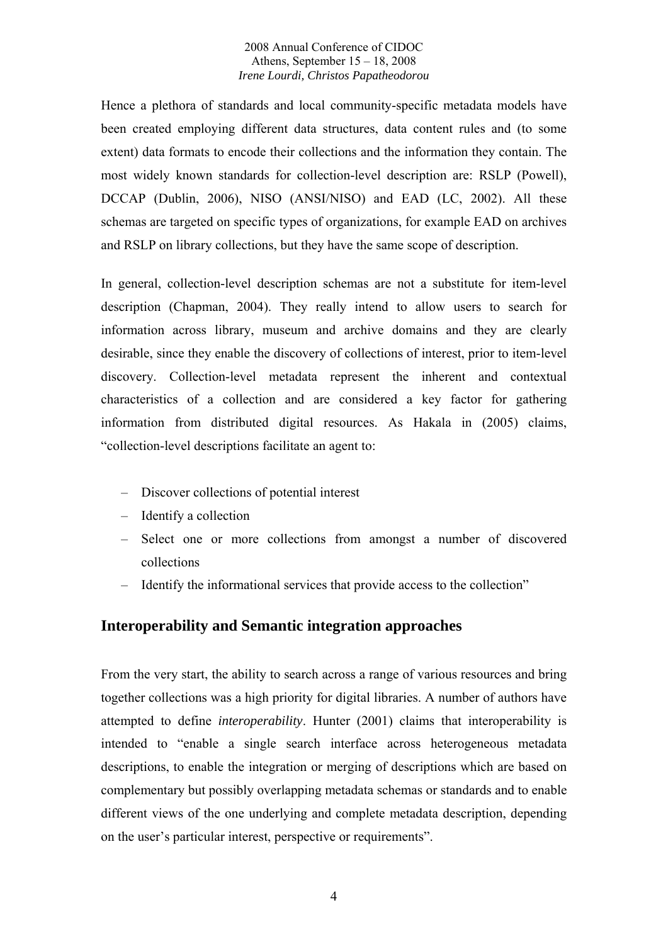Hence a plethora of standards and local community-specific metadata models have been created employing different data structures, data content rules and (to some extent) data formats to encode their collections and the information they contain. The most widely known standards for collection-level description are: RSLP (Powell), DCCAP (Dublin, 2006), NISO (ANSI/NISO) and EAD (LC, 2002). All these schemas are targeted on specific types of organizations, for example EAD on archives and RSLP on library collections, but they have the same scope of description.

In general, collection-level description schemas are not a substitute for item-level description (Chapman, 2004). They really intend to allow users to search for information across library, museum and archive domains and they are clearly desirable, since they enable the discovery of collections of interest, prior to item-level discovery. Collection-level metadata represent the inherent and contextual characteristics of a collection and are considered a key factor for gathering information from distributed digital resources. As Hakala in (2005) claims, "collection-level descriptions facilitate an agent to:

- Discover collections of potential interest
- Identify a collection
- Select one or more collections from amongst a number of discovered collections
- Identify the informational services that provide access to the collection"

## **Interoperability and Semantic integration approaches**

From the very start, the ability to search across a range of various resources and bring together collections was a high priority for digital libraries. A number of authors have attempted to define *interoperability*. Hunter (2001) claims that interoperability is intended to "enable a single search interface across heterogeneous metadata descriptions, to enable the integration or merging of descriptions which are based on complementary but possibly overlapping metadata schemas or standards and to enable different views of the one underlying and complete metadata description, depending on the user's particular interest, perspective or requirements".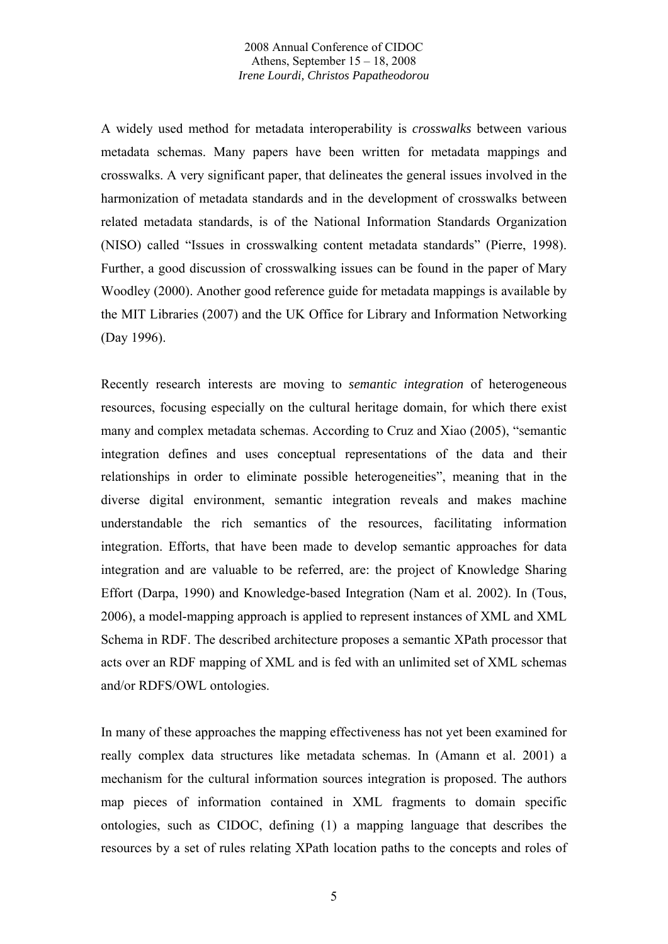A widely used method for metadata interoperability is *crosswalks* between various metadata schemas. Many papers have been written for metadata mappings and crosswalks. A very significant paper, that delineates the general issues involved in the harmonization of metadata standards and in the development of crosswalks between related metadata standards, is of the National Information Standards Organization (NISO) called "Issues in crosswalking content metadata standards" (Pierre, 1998). Further, a good discussion of crosswalking issues can be found in the paper of Mary Woodley (2000). Another good reference guide for metadata mappings is available by the MIT Libraries (2007) and the UK Office for Library and Information Networking (Day 1996).

Recently research interests are moving to *semantic integration* of heterogeneous resources, focusing especially on the cultural heritage domain, for which there exist many and complex metadata schemas. According to Cruz and Xiao (2005), "semantic integration defines and uses conceptual representations of the data and their relationships in order to eliminate possible heterogeneities", meaning that in the diverse digital environment, semantic integration reveals and makes machine understandable the rich semantics of the resources, facilitating information integration. Efforts, that have been made to develop semantic approaches for data integration and are valuable to be referred, are: the project of Knowledge Sharing Effort (Darpa, 1990) and Knowledge-based Integration (Nam et al. 2002). In (Tous, 2006), a model-mapping approach is applied to represent instances of XML and XML Schema in RDF. The described architecture proposes a semantic XPath processor that acts over an RDF mapping of XML and is fed with an unlimited set of XML schemas and/or RDFS/OWL ontologies.

In many of these approaches the mapping effectiveness has not yet been examined for really complex data structures like metadata schemas. In (Amann et al. 2001) a mechanism for the cultural information sources integration is proposed. The authors map pieces of information contained in XML fragments to domain specific ontologies, such as CIDOC, defining (1) a mapping language that describes the resources by a set of rules relating XPath location paths to the concepts and roles of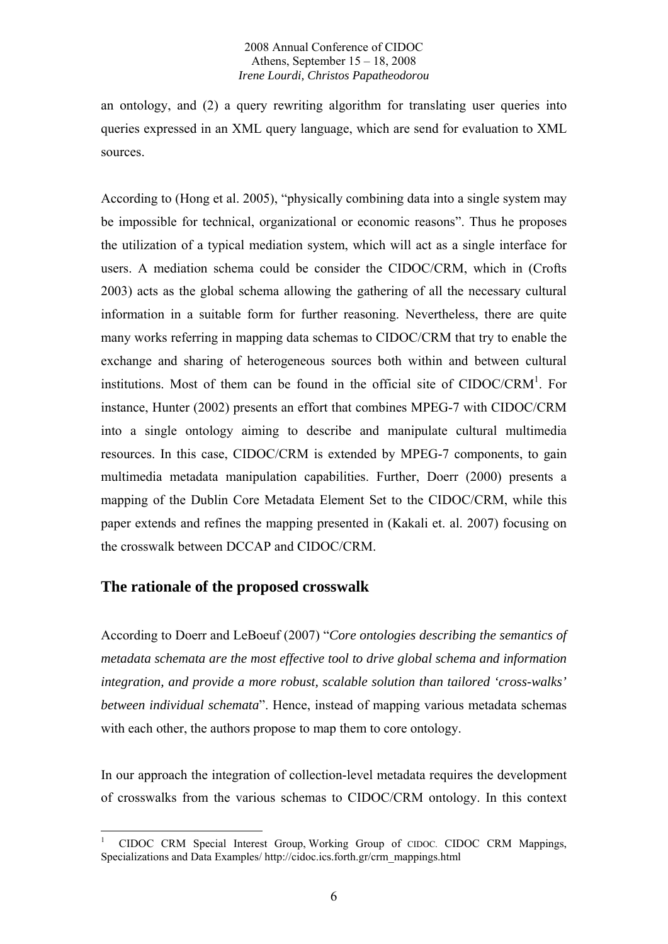an ontology, and (2) a query rewriting algorithm for translating user queries into queries expressed in an XML query language, which are send for evaluation to XML sources.

According to (Hong et al. 2005), "physically combining data into a single system may be impossible for technical, organizational or economic reasons". Thus he proposes the utilization of a typical mediation system, which will act as a single interface for users. A mediation schema could be consider the CIDOC/CRM, which in (Crofts 2003) acts as the global schema allowing the gathering of all the necessary cultural information in a suitable form for further reasoning. Nevertheless, there are quite many works referring in mapping data schemas to CIDOC/CRM that try to enable the exchange and sharing of heterogeneous sources both within and between cultural institutions. Most of them can be found in the official site of CIDOC/CRM<sup>1</sup>. For instance, Hunter (2002) presents an effort that combines MPEG-7 with CIDOC/CRM into a single ontology aiming to describe and manipulate cultural multimedia resources. In this case, CIDOC/CRM is extended by MPEG-7 components, to gain multimedia metadata manipulation capabilities. Further, Doerr (2000) presents a mapping of the Dublin Core Metadata Element Set to the CIDOC/CRM, while this paper extends and refines the mapping presented in (Kakali et. al. 2007) focusing on the crosswalk between DCCAP and CIDOC/CRM.

## **The rationale of the proposed crosswalk**

According to Doerr and LeBoeuf (2007) "*Core ontologies describing the semantics of metadata schemata are the most effective tool to drive global schema and information integration, and provide a more robust, scalable solution than tailored 'cross-walks' between individual schemata*". Hence, instead of mapping various metadata schemas with each other, the authors propose to map them to core ontology.

In our approach the integration of collection-level metadata requires the development of crosswalks from the various schemas to CIDOC/CRM ontology. In this context

<sup>&</sup>lt;u>.</u> 1 CIDOC CRM Special Interest Group, Working Group of CIDOC. CIDOC CRM Mappings, Specializations and Data Examples/ http://cidoc.ics.forth.gr/crm\_mappings.html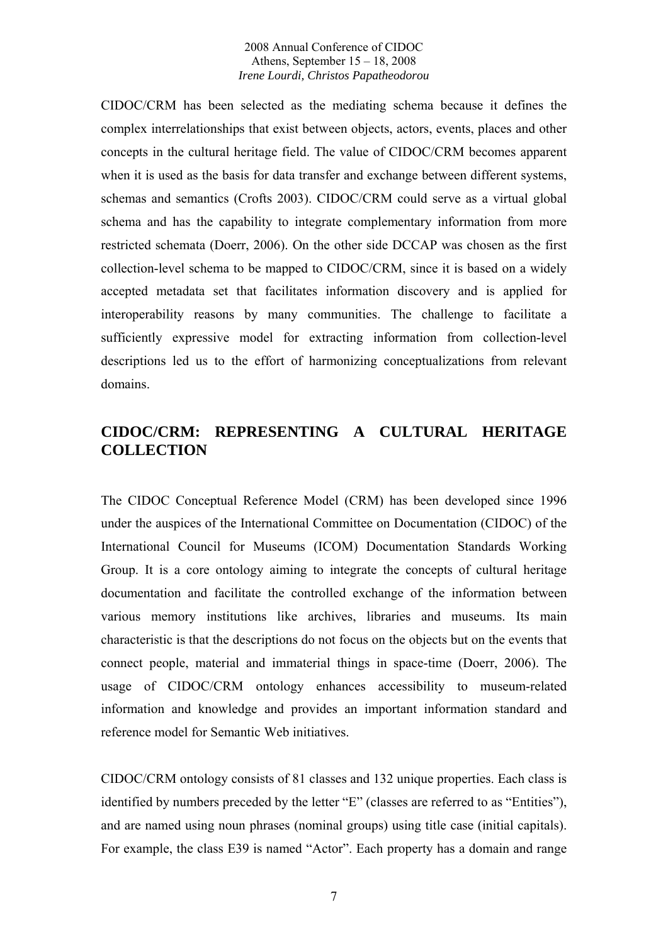CIDOC/CRM has been selected as the mediating schema because it defines the complex interrelationships that exist between objects, actors, events, places and other concepts in the cultural heritage field. The value of CIDOC/CRM becomes apparent when it is used as the basis for data transfer and exchange between different systems, schemas and semantics (Crofts 2003). CIDOC/CRM could serve as a virtual global schema and has the capability to integrate complementary information from more restricted schemata (Doerr, 2006). On the other side DCCAP was chosen as the first collection-level schema to be mapped to CIDOC/CRM, since it is based on a widely accepted metadata set that facilitates information discovery and is applied for interoperability reasons by many communities. The challenge to facilitate a sufficiently expressive model for extracting information from collection-level descriptions led us to the effort of harmonizing conceptualizations from relevant domains.

## **CIDOC/CRM: REPRESENTING A CULTURAL HERITAGE COLLECTION**

The CIDOC Conceptual Reference Model (CRM) has been developed since 1996 under the auspices of the International Committee on Documentation (CIDOC) of the International Council for Museums (ICOM) Documentation Standards Working Group. It is a core ontology aiming to integrate the concepts of cultural heritage documentation and facilitate the controlled exchange of the information between various memory institutions like archives, libraries and museums. Its main characteristic is that the descriptions do not focus on the objects but on the events that connect people, material and immaterial things in space-time (Doerr, 2006). The usage of CIDOC/CRM ontology enhances accessibility to museum-related information and knowledge and provides an important information standard and reference model for Semantic Web initiatives.

CIDOC/CRM ontology consists of 81 classes and 132 unique properties. Each class is identified by numbers preceded by the letter "E" (classes are referred to as "Entities"), and are named using noun phrases (nominal groups) using title case (initial capitals). For example, the class E39 is named "Actor". Each property has a domain and range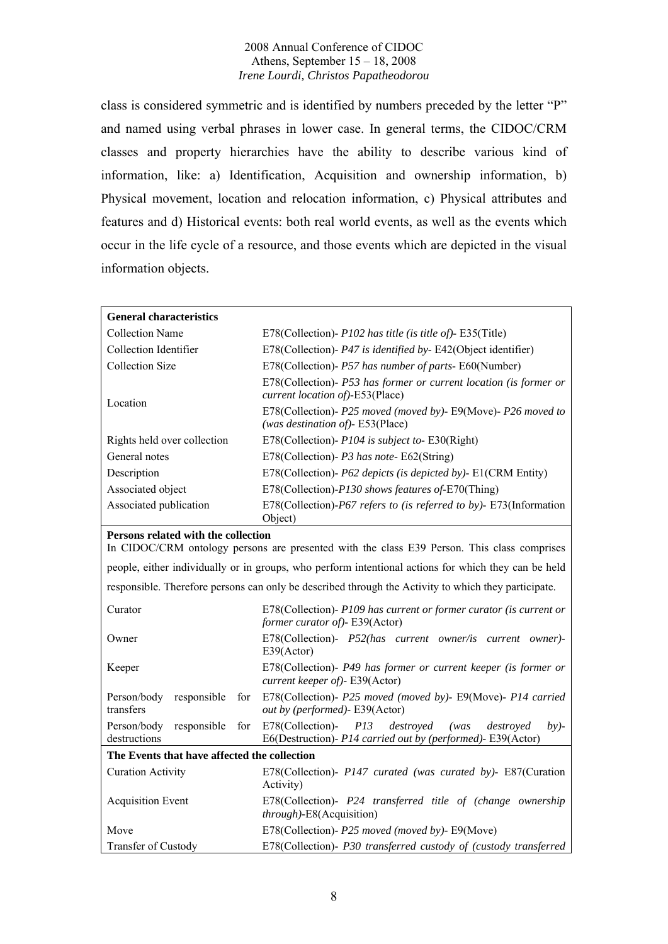class is considered symmetric and is identified by numbers preceded by the letter "P" and named using verbal phrases in lower case. In general terms, the CIDOC/CRM classes and property hierarchies have the ability to describe various kind of information, like: a) Identification, Acquisition and ownership information, b) Physical movement, location and relocation information, c) Physical attributes and features and d) Historical events: both real world events, as well as the events which occur in the life cycle of a resource, and those events which are depicted in the visual information objects.

| <b>General characteristics</b>                                                                                                     |                                                                                                                                    |  |
|------------------------------------------------------------------------------------------------------------------------------------|------------------------------------------------------------------------------------------------------------------------------------|--|
| <b>Collection Name</b>                                                                                                             | E78(Collection)- P102 has title (is title of)- E35(Title)                                                                          |  |
| Collection Identifier                                                                                                              | E78(Collection)- P47 is identified by-E42(Object identifier)                                                                       |  |
| <b>Collection Size</b>                                                                                                             | E78(Collection)- P57 has number of parts- E60(Number)                                                                              |  |
| Location                                                                                                                           | E78(Collection)- P53 has former or current location (is former or<br>current location of)-E53(Place)                               |  |
|                                                                                                                                    | E78(Collection)- P25 moved (moved by)- E9(Move)- P26 moved to<br>(was destination of)- E53(Place)                                  |  |
| Rights held over collection                                                                                                        | E78(Collection)- P104 is subject to-E30(Right)                                                                                     |  |
| General notes                                                                                                                      | E78(Collection)- P3 has note-E62(String)                                                                                           |  |
| Description                                                                                                                        | E78(Collection)- P62 depicts (is depicted by)- E1(CRM Entity)                                                                      |  |
| Associated object                                                                                                                  | E78(Collection)-P130 shows features of-E70(Thing)                                                                                  |  |
| Associated publication                                                                                                             | E78(Collection)-P67 refers to (is referred to by)- E73(Information<br>Object)                                                      |  |
| Persons related with the collection<br>In CIDOC/CRM ontology persons are presented with the class E39 Person. This class comprises |                                                                                                                                    |  |
|                                                                                                                                    | people, either individually or in groups, who perform intentional actions for which they can be held                               |  |
|                                                                                                                                    | responsible. Therefore persons can only be described through the Activity to which they participate.                               |  |
| Curator                                                                                                                            | E78(Collection)- P109 has current or former curator (is current or<br>former curator of)- E39(Actor)                               |  |
| Owner                                                                                                                              | E78(Collection)- P52(has current owner/is current owner)-<br>E39(Actor)                                                            |  |
| Keeper                                                                                                                             | E78(Collection)- P49 has former or current keeper (is former or<br>current keeper of)- E39(Actor)                                  |  |
| Person/body<br>responsible<br>for<br>transfers                                                                                     | E78(Collection)- P25 moved (moved by)- E9(Move)- P14 carried<br>out by (performed)- E39(Actor)                                     |  |
| Person/body<br>responsible<br>for<br>destructions                                                                                  | E78(Collection)-<br>P13<br>destroyed<br>(was<br>destroyed<br>$by$ -<br>E6(Destruction)- P14 carried out by (performed)- E39(Actor) |  |
| The Events that have affected the collection                                                                                       |                                                                                                                                    |  |
| <b>Curation Activity</b>                                                                                                           | E78(Collection)- P147 curated (was curated by)- E87(Curation<br>Activity)                                                          |  |
| <b>Acquisition Event</b>                                                                                                           | E78(Collection)- P24 transferred title of (change ownership<br>through)-E8(Acquisition)                                            |  |
| Move                                                                                                                               | E78(Collection)- P25 moved (moved by)- E9(Move)                                                                                    |  |
| Transfer of Custody                                                                                                                | E78(Collection)- P30 transferred custody of (custody transferred                                                                   |  |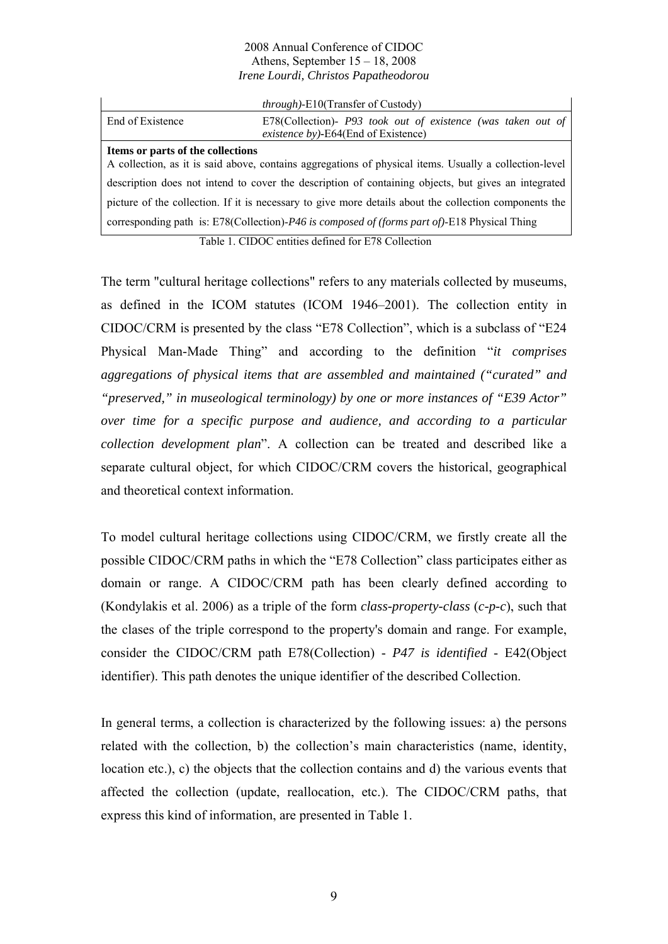|                                                                                                                                             | <i>through</i> )-E10(Transfer of Custody)                                                           |  |
|---------------------------------------------------------------------------------------------------------------------------------------------|-----------------------------------------------------------------------------------------------------|--|
| End of Existence                                                                                                                            | E78(Collection)- P93 took out of existence (was taken out of<br>existence by)-E64(End of Existence) |  |
| Items or parts of the collections<br>A collection, as it is said above, contains aggregations of physical items. Usually a collection-level |                                                                                                     |  |
| description does not intend to cover the description of containing objects, but gives an integrated                                         |                                                                                                     |  |
| picture of the collection. If it is necessary to give more details about the collection components the                                      |                                                                                                     |  |
| corresponding path is: E78(Collection)-P46 is composed of (forms part of)-E18 Physical Thing                                                |                                                                                                     |  |

Table 1. CIDOC entities defined for E78 Collection

The term "cultural heritage collections" refers to any materials collected by museums, as defined in the ICOM statutes (ICOM 1946–2001). The collection entity in CIDOC/CRM is presented by the class "E78 Collection", which is a subclass of "E24 Physical Man-Made Thing" and according to the definition "*it comprises aggregations of physical items that are assembled and maintained ("curated" and "preserved," in museological terminology) by one or more instances of "E39 Actor" over time for a specific purpose and audience, and according to a particular collection development plan*". A collection can be treated and described like a separate cultural object, for which CIDOC/CRM covers the historical, geographical and theoretical context information.

To model cultural heritage collections using CIDOC/CRM, we firstly create all the possible CIDOC/CRM paths in which the "E78 Collection" class participates either as domain or range. A CIDOC/CRM path has been clearly defined according to (Kondylakis et al. 2006) as a triple of the form *class-property-class* (*c-p-c*), such that the clases of the triple correspond to the property's domain and range. For example, consider the CIDOC/CRM path E78(Collection) - *P47 is identified* - E42(Object identifier). This path denotes the unique identifier of the described Collection.

In general terms, a collection is characterized by the following issues: a) the persons related with the collection, b) the collection's main characteristics (name, identity, location etc.), c) the objects that the collection contains and d) the various events that affected the collection (update, reallocation, etc.). The CIDOC/CRM paths, that express this kind of information, are presented in Table 1.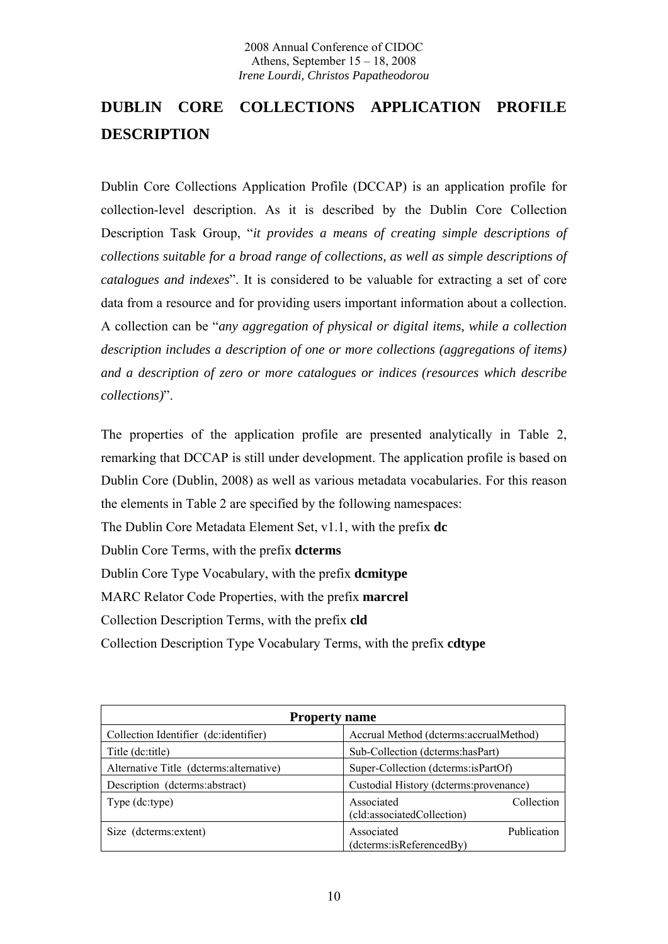# **DUBLIN CORE COLLECTIONS APPLICATION PROFILE DESCRIPTION**

Dublin Core Collections Application Profile (DCCAP) is an application profile for collection-level description. As it is described by the Dublin Core Collection Description Task Group, "*it provides a means of creating simple descriptions of collections suitable for a broad range of collections, as well as simple descriptions of catalogues and indexes*". It is considered to be valuable for extracting a set of core data from a resource and for providing users important information about a collection. A collection can be "*any aggregation of physical or digital items, while a collection description includes a description of one or more collections (aggregations of items) and a description of zero or more catalogues or indices (resources which describe collections)*".

The properties of the application profile are presented analytically in Table 2, remarking that DCCAP is still under development. The application profile is based on Dublin Core (Dublin, 2008) as well as various metadata vocabularies. For this reason the elements in Table 2 are specified by the following namespaces:

The Dublin Core Metadata Element Set, v1.1, with the prefix **dc**

Dublin Core Terms, with the prefix **dcterms**

Dublin Core Type Vocabulary, with the prefix **dcmitype**

MARC Relator Code Properties, with the prefix **marcrel**

Collection Description Terms, with the prefix **cld**

Collection Description Type Vocabulary Terms, with the prefix **cdtype** 

| <b>Property name</b>                     |                                                           |  |  |
|------------------------------------------|-----------------------------------------------------------|--|--|
| Collection Identifier (dc: identifier)   | Accrual Method (dcterms:accrualMethod)                    |  |  |
| Title (dc:title)                         | Sub-Collection (dcterms:hasPart)                          |  |  |
| Alternative Title (dcterms: alternative) | Super-Collection (dcterms:isPartOf)                       |  |  |
| Description (dcterms: abstract)          | Custodial History (dcterms: provenance)                   |  |  |
| Type (dc:type)                           | Collection<br>Associated<br>(cld:associatedCollection)    |  |  |
| Size (dcterms: extent)                   | Publication<br>Associated<br>$(determin: isReference By)$ |  |  |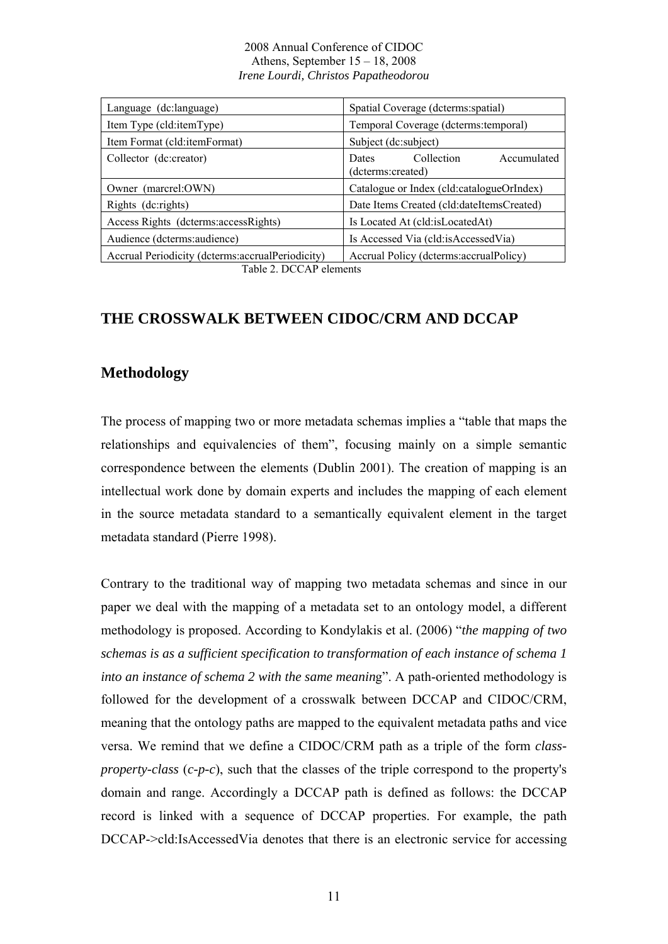| Language (dc:language)                             | Spatial Coverage (dcterms: spatial)                            |
|----------------------------------------------------|----------------------------------------------------------------|
| Item Type (cld:itemType)                           | Temporal Coverage (dcterms: temporal)                          |
| Item Format (cld:itemFormat)                       | Subject (dc:subject)                                           |
| Collector (dc:creator)                             | Collection<br>Accumulated<br><b>Dates</b><br>(dcterms:created) |
| Owner (marcrel:OWN)                                | Catalogue or Index (cld:catalogueOrIndex)                      |
| Rights (dc:rights)                                 | Date Items Created (cld:dateItemsCreated)                      |
| Access Rights (dcterms: access Rights)             | Is Located At (cld:isLocatedAt)                                |
| Audience (dcterms: audience)                       | Is Accessed Via (cld:isAccessedVia)                            |
| Accrual Periodicity (dcterms: accrual Periodicity) | Accrual Policy (determs: accrual Policy)                       |

Table 2. DCCAP elements

## **THE CROSSWALK BETWEEN CIDOC/CRM AND DCCAP**

## **Methodology**

The process of mapping two or more metadata schemas implies a "table that maps the relationships and equivalencies of them", focusing mainly on a simple semantic correspondence between the elements (Dublin 2001). The creation of mapping is an intellectual work done by domain experts and includes the mapping of each element in the source metadata standard to a semantically equivalent element in the target metadata standard (Pierre 1998).

Contrary to the traditional way of mapping two metadata schemas and since in our paper we deal with the mapping of a metadata set to an ontology model, a different methodology is proposed. According to Kondylakis et al. (2006) "*the mapping of two schemas is as a sufficient specification to transformation of each instance of schema 1 into an instance of schema 2 with the same meaning*". A path-oriented methodology is followed for the development of a crosswalk between DCCAP and CIDOC/CRM, meaning that the ontology paths are mapped to the equivalent metadata paths and vice versa. We remind that we define a CIDOC/CRM path as a triple of the form *classproperty-class* (*c-p-c*), such that the classes of the triple correspond to the property's domain and range. Accordingly a DCCAP path is defined as follows: the DCCAP record is linked with a sequence of DCCAP properties. For example, the path DCCAP->cld:IsAccessedVia denotes that there is an electronic service for accessing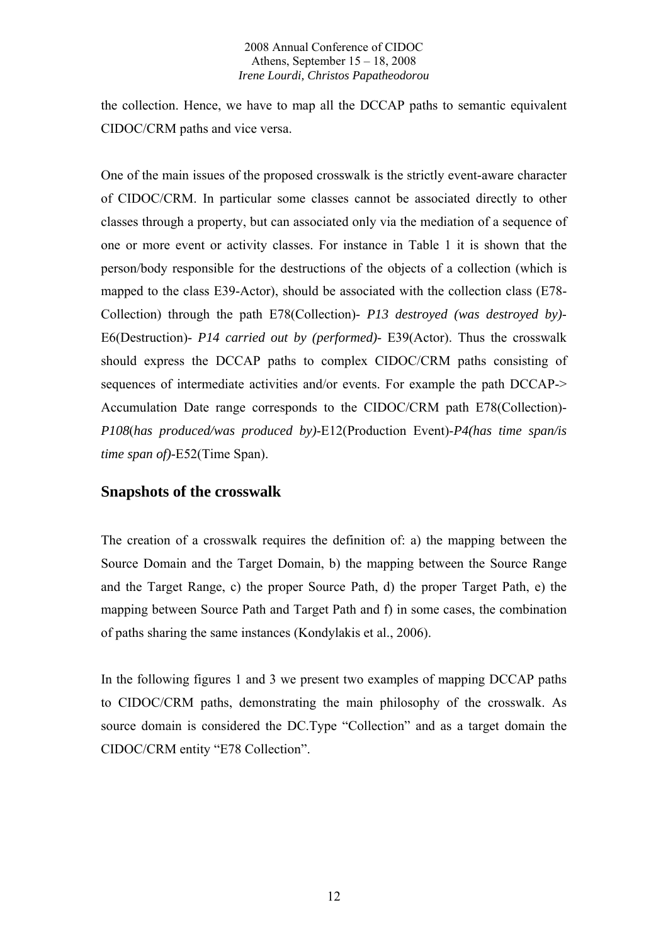the collection. Hence, we have to map all the DCCAP paths to semantic equivalent CIDOC/CRM paths and vice versa.

One of the main issues of the proposed crosswalk is the strictly event-aware character of CIDOC/CRM. In particular some classes cannot be associated directly to other classes through a property, but can associated only via the mediation of a sequence of one or more event or activity classes. For instance in Table 1 it is shown that the person/body responsible for the destructions of the objects of a collection (which is mapped to the class E39-Actor), should be associated with the collection class (E78- Collection) through the path E78(Collection)- *P13 destroyed (was destroyed by)*- E6(Destruction)- *P14 carried out by (performed)*- E39(Actor). Thus the crosswalk should express the DCCAP paths to complex CIDOC/CRM paths consisting of sequences of intermediate activities and/or events. For example the path DCCAP-> Accumulation Date range corresponds to the CIDOC/CRM path E78(Collection)- *P108*(*has produced/was produced by)*-E12(Production Event)-*P4(has time span/is time span of)*-E52(Time Span).

## **Snapshots of the crosswalk**

The creation of a crosswalk requires the definition of: a) the mapping between the Source Domain and the Target Domain, b) the mapping between the Source Range and the Target Range, c) the proper Source Path, d) the proper Target Path, e) the mapping between Source Path and Target Path and f) in some cases, the combination of paths sharing the same instances (Kondylakis et al., 2006).

In the following figures 1 and 3 we present two examples of mapping DCCAP paths to CIDOC/CRM paths, demonstrating the main philosophy of the crosswalk. As source domain is considered the DC.Type "Collection" and as a target domain the CIDOC/CRM entity "E78 Collection".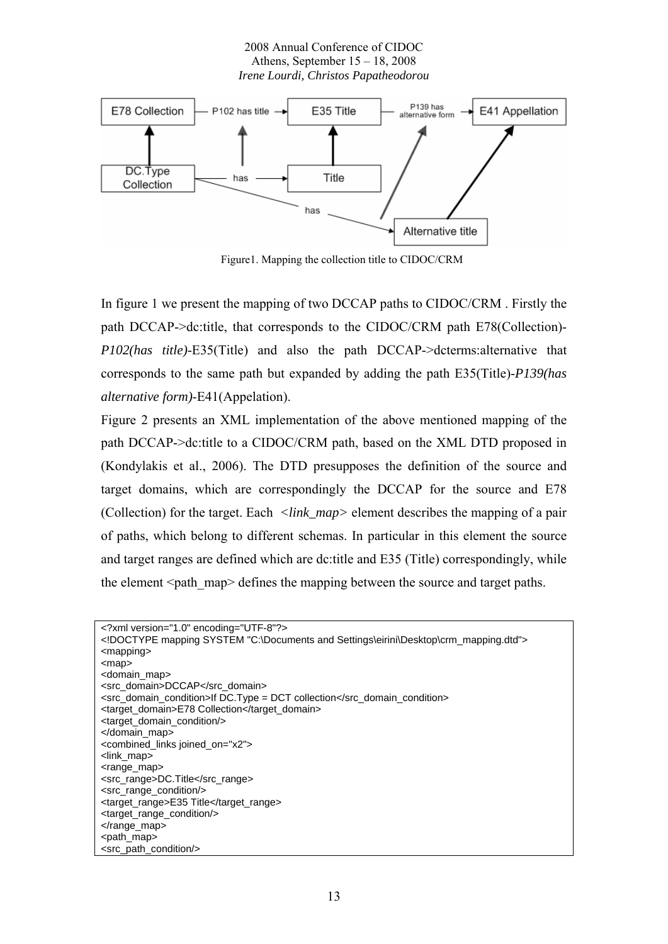

Figure1. Mapping the collection title to CIDOC/CRM

In figure 1 we present the mapping of two DCCAP paths to CIDOC/CRM . Firstly the path DCCAP->dc:title, that corresponds to the CIDOC/CRM path Ε78(Collection)- *P102(has title)*-E35(Title) and also the path DCCAP->dcterms:alternative that corresponds to the same path but expanded by adding the path E35(Title)-*P139(has alternative form)*-E41(Appelation).

Figure 2 presents an XML implementation of the above mentioned mapping of the path DCCAP->dc:title to a CIDOC/CRM path, based on the XML DTD proposed in (Kondylakis et al., 2006). The DTD presupposes the definition of the source and target domains, which are correspondingly the DCCAP for the source and E78 (Collection) for the target. Each *<link\_map>* element describes the mapping of a pair of paths, which belong to different schemas. In particular in this element the source and target ranges are defined which are dc:title and E35 (Title) correspondingly, while the element <path\_map> defines the mapping between the source and target paths.

| xml version="1.0" encoding="UTF-8"?                                                 |
|-------------------------------------------------------------------------------------|
| mapping SYSTEM "C:\Documents and Settings\eirini\Desktop\crm_mapping.dtd"           |
| $<$ mapping $>$                                                                     |
| $<$ map $>$                                                                         |
| <domain_map></domain_map>                                                           |
| <src domain="">DCCAP</src>                                                          |
| $\le$ src_domain_condition>If DC.Type = DCT collection $\le$ /src_domain_condition> |
| <target domain="">E78 Collection</target>                                           |
| <target condition="" domain=""></target>                                            |
|                                                                                     |
| <combined_links joined_on="x2"></combined_links>                                    |
| <link map=""/>                                                                      |
| <range_map></range_map>                                                             |
| <src_range>DC.Title</src_range>                                                     |
| <src_range_condition></src_range_condition>                                         |
| <target_range>E35 Title</target_range>                                              |
| <target_range_condition></target_range_condition>                                   |
| $\alpha$ range map                                                                  |
| <path_map></path_map>                                                               |
| <src_path_condition></src_path_condition>                                           |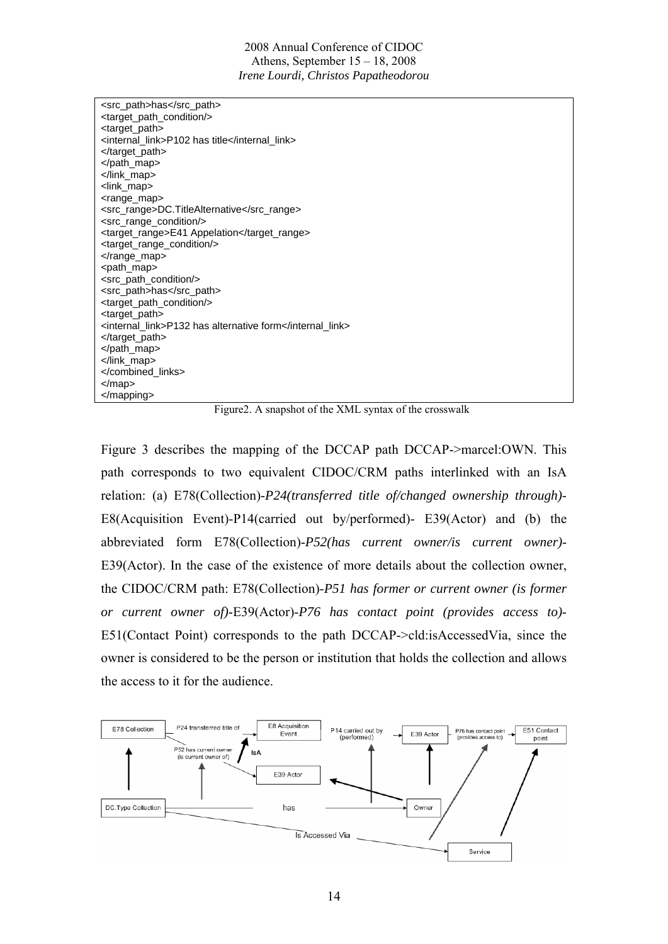| <src_path>has</src_path>                                 |
|----------------------------------------------------------|
| <target_path_condition></target_path_condition>          |
| <target_path></target_path>                              |
| <internal link="">P102 has title</internal>              |
| $\lt$ /target_path>                                      |
|                                                          |
|                                                          |
| <link_map></link_map>                                    |
| <range_map></range_map>                                  |
| <src_range>DC.TitleAlternative</src_range>               |
| <src_range_condition></src_range_condition>              |
| <target_range>E41 Appelation</target_range>              |
| <target_range_condition></target_range_condition>        |
|                                                          |
| <path_map></path_map>                                    |
| <src_path_condition></src_path_condition>                |
| <src_path>has</src_path>                                 |
| <target_path_condition></target_path_condition>          |
| <target_path></target_path>                              |
| <internal_link>P132 has alternative form</internal_link> |
|                                                          |
|                                                          |
|                                                          |
|                                                          |
|                                                          |
|                                                          |

Figure2. A snapshot of the XML syntax of the crosswalk

Figure 3 describes the mapping of the DCCAP path DCCAP->marcel:OWN. This path corresponds to two equivalent CIDOC/CRM paths interlinked with an IsA relation: (a) E78(Collection)-*P24(transferred title of/changed ownership through)*- E8(Acquisition Event)-P14(carried out by/performed)- E39(Actor) and (b) the abbreviated form E78(Collection)-*P52(has current owner/is current owner)*- E39(Actor). In the case of the existence of more details about the collection owner, the CIDOC/CRM path: E78(Collection)-*P51 has former or current owner (is former or current owner of)*-E39(Actor)-*P76 has contact point (provides access to)*- E51(Contact Point) corresponds to the path DCCAP->cld:isAccessedVia, since the owner is considered to be the person or institution that holds the collection and allows the access to it for the audience.

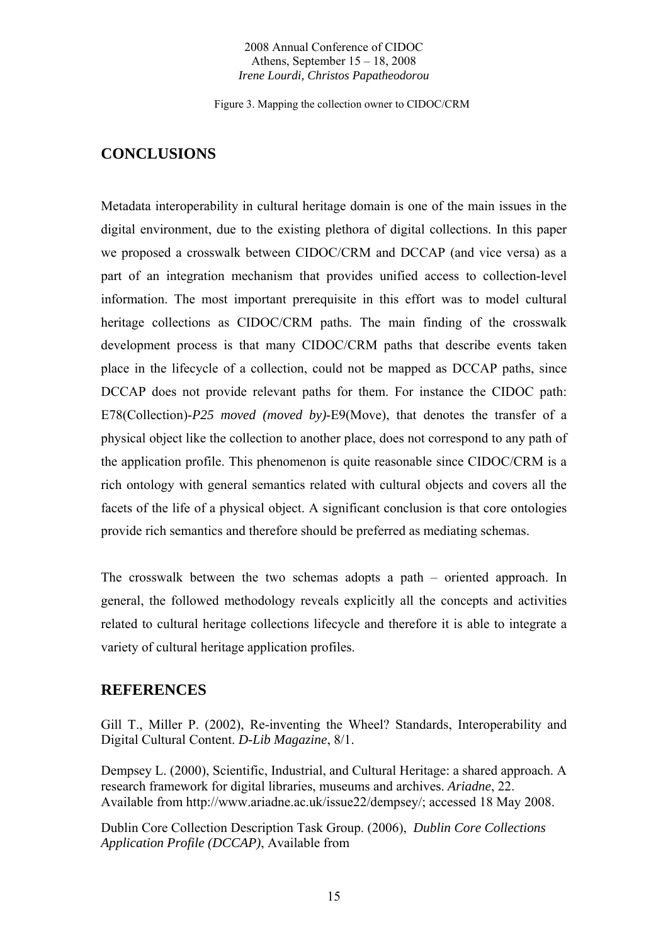Figure 3. Mapping the collection owner to CIDOC/CRM

# **CONCLUSIONS**

Metadata interoperability in cultural heritage domain is one of the main issues in the digital environment, due to the existing plethora of digital collections. In this paper we proposed a crosswalk between CIDOC/CRM and DCCAP (and vice versa) as a part of an integration mechanism that provides unified access to collection-level information. The most important prerequisite in this effort was to model cultural heritage collections as CIDOC/CRM paths. The main finding of the crosswalk development process is that many CIDOC/CRM paths that describe events taken place in the lifecycle of a collection, could not be mapped as DCCAP paths, since DCCAP does not provide relevant paths for them. For instance the CIDOC path: E78(Collection)-*P25 moved (moved by)*-E9(Move), that denotes the transfer of a physical object like the collection to another place, does not correspond to any path of the application profile. This phenomenon is quite reasonable since CIDOC/CRM is a rich ontology with general semantics related with cultural objects and covers all the facets of the life of a physical object. A significant conclusion is that core ontologies provide rich semantics and therefore should be preferred as mediating schemas.

The crosswalk between the two schemas adopts a path – oriented approach. In general, the followed methodology reveals explicitly all the concepts and activities related to cultural heritage collections lifecycle and therefore it is able to integrate a variety of cultural heritage application profiles.

## **REFERENCES**

Gill T., Miller P. (2002), Re-inventing the Wheel? Standards, Interoperability and Digital Cultural Content. *D-Lib Magazine*, 8/1.

Dempsey L. (2000), Scientific, Industrial, and Cultural Heritage: a shared approach. A research framework for digital libraries, museums and archives. *Ariadne*, 22. Available from http://www.ariadne.ac.uk/issue22/dempsey/; accessed 18 May 2008.

Dublin Core Collection Description Task Group. (2006), *Dublin Core Collections Application Profile (DCCAP)*, Available from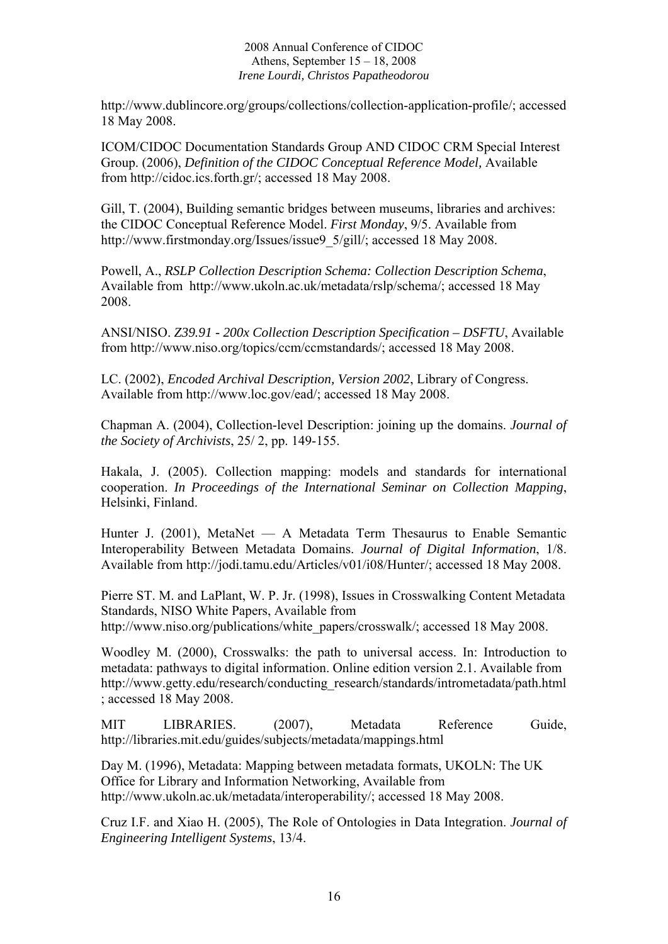http://www.dublincore.org/groups/collections/collection-application-profile/; accessed 18 May 2008.

ICOM/CIDOC Documentation Standards Group AND CIDOC CRM Special Interest Group. (2006), *Definition of the CIDOC Conceptual Reference Model,* Available from http://cidoc.ics.forth.gr/; accessed 18 May 2008.

Gill, T. (2004), Building semantic bridges between museums, libraries and archives: the CIDOC Conceptual Reference Model. *First Monday*, 9/5. Available from http://www.firstmonday.org/Issues/issue9\_5/gill/; accessed 18 May 2008.

Powell, A., *RSLP Collection Description Schema: Collection Description Schema*, Available from http://www.ukoln.ac.uk/metadata/rslp/schema/; accessed 18 May 2008.

ANSI/NISO. *Z39.91 - 200x Collection Description Specification – DSFTU*, Available from http://www.niso.org/topics/ccm/ccmstandards/; accessed 18 May 2008.

LC. (2002), *Encoded Archival Description, Version 2002*, Library of Congress. Available from http://www.loc.gov/ead/; accessed 18 May 2008.

Chapman A. (2004), Collection-level Description: joining up the domains. *Journal of the Society of Archivists*, 25/ 2, pp. 149-155.

Hakala, J. (2005). Collection mapping: models and standards for international cooperation. *In Proceedings of the International Seminar on Collection Mapping*, Helsinki, Finland.

Hunter J. (2001), MetaNet — A Metadata Term Thesaurus to Enable Semantic Interoperability Between Metadata Domains. *Journal of Digital Information*, 1/8. Available from http://jodi.tamu.edu/Articles/v01/i08/Hunter/; accessed 18 May 2008.

Pierre ST. M. and LaPlant, W. P. Jr. (1998), Issues in Crosswalking Content Metadata Standards, NISO White Papers, Available from

http://www.niso.org/publications/white\_papers/crosswalk/; accessed 18 May 2008.

Woodley M. (2000), Crosswalks: the path to universal access. In: Introduction to metadata: pathways to digital information. Online edition version 2.1. Available from http://www.getty.edu/research/conducting\_research/standards/intrometadata/path.html ; accessed 18 May 2008.

MIT LIBRARIES. (2007), Metadata Reference Guide, http://libraries.mit.edu/guides/subjects/metadata/mappings.html

Day M. (1996), Metadata: Mapping between metadata formats, UKOLN: The UK Office for Library and Information Networking, Available from http://www.ukoln.ac.uk/metadata/interoperability/; accessed 18 May 2008.

Cruz I.F. and Xiao H. (2005), The Role of Ontologies in Data Integration. *Journal of Engineering Intelligent Systems*, 13/4.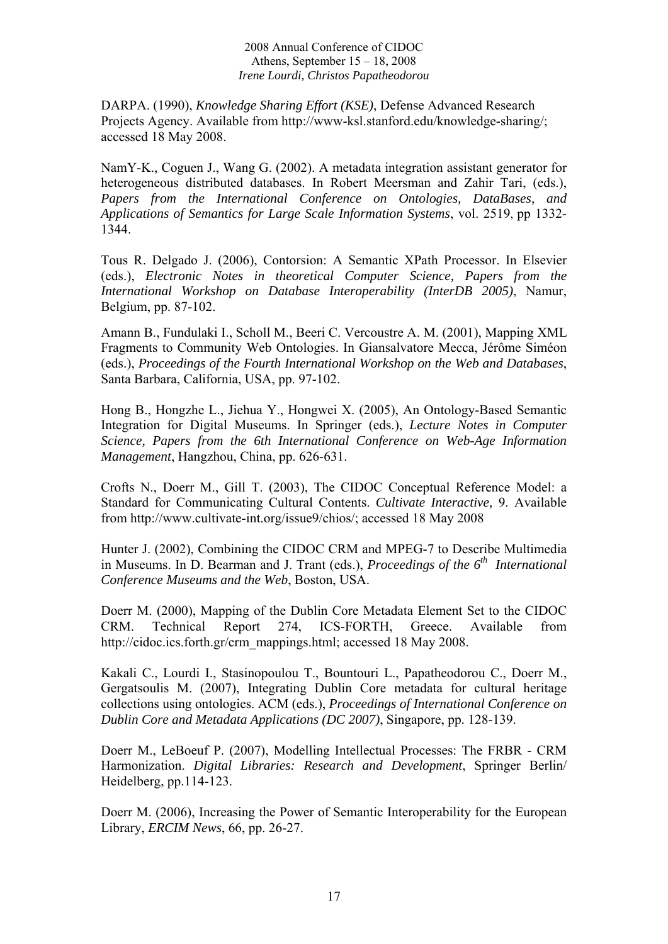DARPA. (1990), *Knowledge Sharing Effort (KSE)*, Defense Advanced Research Projects Agency. Available from http://www-ksl.stanford.edu/knowledge-sharing/; accessed 18 May 2008.

NamY-K., Coguen J., Wang G. (2002). A metadata integration assistant generator for heterogeneous distributed databases. In Robert Meersman and Zahir Tari, (eds.), *Papers from the International Conference on Ontologies, DataBases, and Applications of Semantics for Large Scale Information Systems*, vol. 2519, pp 1332- 1344.

Tous R. Delgado J. (2006), Contorsion: A Semantic XPath Processor. In Elsevier (eds.), *Electronic Notes in theoretical Computer Science, Papers from the International Workshop on Database Interoperability (InterDB 2005)*, Namur, Belgium, pp. 87-102.

Amann B., Fundulaki I., Scholl M., Beeri C. Vercoustre A. M. (2001), Mapping XML Fragments to Community Web Ontologies. In Giansalvatore Mecca, Jérôme Siméon (eds.), *Proceedings of the Fourth International Workshop on the Web and Databases*, Santa Barbara, California, USA, pp. 97-102.

Hong B., Hongzhe L., Jiehua Y., Hongwei X. (2005), An Ontology-Based Semantic Integration for Digital Museums. In Springer (eds.), *Lecture Notes in Computer Science, Papers from the 6th International Conference on Web-Age Information Management*, Hangzhou, China, pp. 626-631.

Crofts N., Doerr M., Gill T. (2003), The CIDOC Conceptual Reference Model: a Standard for Communicating Cultural Contents. *Cultivate Interactive,* 9. Available from http://www.cultivate-int.org/issue9/chios/; accessed 18 May 2008

Hunter J. (2002), Combining the CIDOC CRM and MPEG-7 to Describe Multimedia in Museums. In D. Bearman and J. Trant (eds.), *Proceedings of the 6<sup>th</sup> International Conference Museums and the Web*, Boston, USA.

Doerr M. (2000), Mapping of the Dublin Core Metadata Element Set to the CIDOC CRM. Technical Report 274, ICS-FORTH, Greece. Available from http://cidoc.ics.forth.gr/crm\_mappings.html; accessed 18 May 2008.

Kakali C., Lourdi I., Stasinopoulou T., Bountouri L., Papatheodorou C., Doerr M., Gergatsoulis M. (2007), Integrating Dublin Core metadata for cultural heritage collections using ontologies. ACM (eds.), *Proceedings of International Conference on Dublin Core and Metadata Applications (DC 2007)*, Singapore, pp. 128-139.

Doerr M., LeBoeuf P. (2007), Modelling Intellectual Processes: The FRBR - CRM Harmonization. *Digital Libraries: Research and Development*, Springer Berlin/ Heidelberg, pp.114-123.

Doerr M. (2006), Increasing the Power of Semantic Interoperability for the European Library, *ERCIM News*, 66, pp. 26-27.